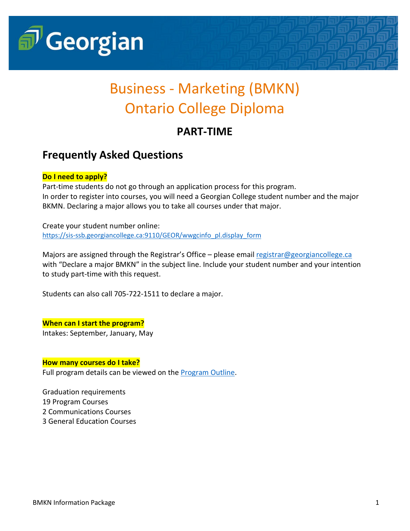

# Business - Marketing (BMKN) Ontario College Diploma

## **PART-TIME**

### **Frequently Asked Questions**

### **Do I need to apply?**

Part-time students do not go through an application process for this program. In order to register into courses, you will need a Georgian College student number and the major BKMN. Declaring a major allows you to take all courses under that major.

Create your student number online: [https://sis-ssb.georgiancollege.ca:9110/GEOR/wwgcinfo\\_pl.display\\_form](https://sis-ssb.georgiancollege.ca:9110/GEOR/wwgcinfo_pl.display_form)

Majors are assigned through the Registrar's Office – please emai[l registrar@georgiancollege.ca](mailto:registrar@georgiancollege.ca) with "Declare a major BMKN" in the subject line. Include your student number and your intention to study part-time with this request.

Students can also call 705-722-1511 to declare a major.

#### **When can I start the program?**

Intakes: September, January, May

#### **How many courses do I take?**

Full program details can be viewed on the **Program Outline**.

Graduation requirements 19 Program Courses 2 Communications Courses 3 General Education Courses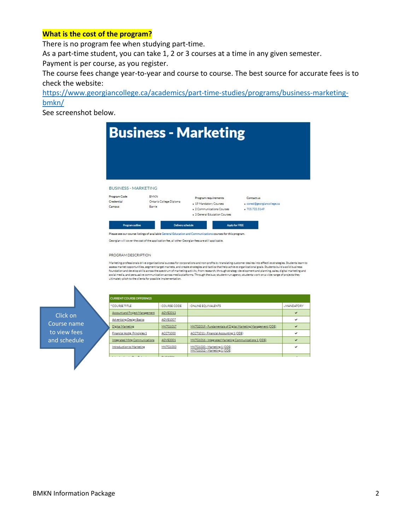#### **What is the cost of the program?**

There is no program fee when studying part-time.

As a part-time student, you can take 1, 2 or 3 courses at a time in any given semester. Payment is per course, as you register.

The course fees change year-to-year and course to course. The best source for accurate fees is to check the website:

[https://www.georgiancollege.ca/academics/part-time-studies/programs/business-marketing](https://www.georgiancollege.ca/academics/part-time-studies/programs/business-marketing-bmkn/)[bmkn/](https://www.georgiancollege.ca/academics/part-time-studies/programs/business-marketing-bmkn/)

See screenshot below.



Please see our course listings of available General Education and Communications courses for this program.

Georgian will cover the cost of the application fee, all other Georgian fees are still applicable.

#### PROGRAM DESCRIPTION

Marketing professionals drive organizational success for corporations and non-profits by translating customer desires into effective strategies. Students learn to maine ung protessional in the paradoxium souchast of containing a main professional product of the state and the state and the state and the state and the state and the state and the state and the state and the state of th ultimately pitch to the clients for possible implementation.

Click on Course name to view fees and schedule

| <b>CURRENT COURSE OFFERINGS</b> |                                                                          |                                                               |              |  |  |  |
|---------------------------------|--------------------------------------------------------------------------|---------------------------------------------------------------|--------------|--|--|--|
| <sup>A</sup> COURSE TITLE       | COURSE CODE                                                              | ONLINE EQUIVALENTS                                            | -MANDATORY   |  |  |  |
| Account and Project Management  | <b>ADVE2013</b>                                                          |                                                               | $\checkmark$ |  |  |  |
| Advertising Design Basics       | ADVE1007                                                                 |                                                               | $\checkmark$ |  |  |  |
| Digital Marketing               | <b>MKTG1017</b>                                                          | MKTG2019 - Fundamentals of Digital Marketing Management (ODE) | $\checkmark$ |  |  |  |
| Financial Acctg. Principles 1   | ACCT1000                                                                 | ACCT1011 - Financial Accounting 1 (ODE)                       | $\checkmark$ |  |  |  |
| Integrated Mktg Communications  | ADVE2001                                                                 | MKTG1016 - Integrated Marketing Communications 1 (ODE)        | $\checkmark$ |  |  |  |
| Introduction to Marketing       | MKTG1000<br>MKTG1020 - Marketing 1 (ODE)<br>MKTG1012 - Marketing 1 (ODE) |                                                               | v            |  |  |  |
|                                 | <b>BUILDING</b>                                                          |                                                               |              |  |  |  |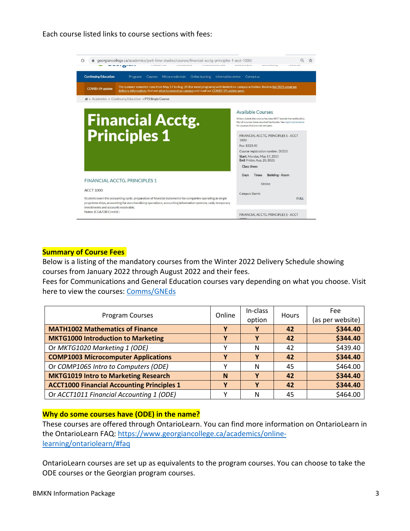Each course listed links to course sections with fees:



#### **Summary of Course Fees**

Below is a listing of the mandatory courses from the Winter 2022 Delivery Schedule showing courses from January 2022 through August 2022 and their fees.

Fees for Communications and General Education courses vary depending on what you choose. Visit here to view the courses: [Comms/GNEds](https://www.georgiancollege.ca/academics/part-time-studies/search-results/?area=General+Education+Electives+and+Communication&study=&campus=)

| Program Courses                                   |   | In-class<br>option | <b>Hours</b> | Fee<br>(as per website) |
|---------------------------------------------------|---|--------------------|--------------|-------------------------|
| <b>MATH1002 Mathematics of Finance</b>            |   | v                  | 42           | \$344.40                |
| <b>MKTG1000 Introduction to Marketing</b>         | γ | v                  | 42           | \$344.40                |
| Or MKTG1020 Marketing 1 (ODE)                     | v | N                  | 42           | \$439.40                |
| <b>COMP1003 Microcomputer Applications</b>        | γ | v                  | 42           | \$344.40                |
| Or COMP1065 Intro to Computers (ODE)              | v | N                  | 45           | \$464.00                |
| <b>MKTG1019 Intro to Marketing Research</b>       | N | Y                  | 42           | \$344.40                |
| <b>ACCT1000 Financial Accounting Principles 1</b> | Υ | v                  | 42           | \$344.40                |
| Or ACCT1011 Financial Accounting 1 (ODE)          | v | N                  | 45           | \$464.00                |

#### **Why do some courses have (ODE) in the name?**

These courses are offered through OntarioLearn. You can find more information on OntarioLearn in the OntarioLearn FAQ: [https://www.georgiancollege.ca/academics/online](https://www.georgiancollege.ca/academics/online-learning/ontariolearn/#faq)[learning/ontariolearn/#faq](https://www.georgiancollege.ca/academics/online-learning/ontariolearn/#faq)

OntarioLearn courses are set up as equivalents to the program courses. You can choose to take the ODE courses or the Georgian program courses.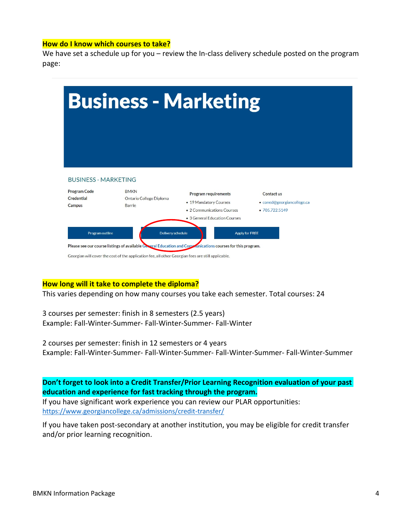#### **How do I know which courses to take?**

We have set a schedule up for you – review the In-class delivery schedule posted on the program page:



#### **How long will it take to complete the diploma?**

This varies depending on how many courses you take each semester. Total courses: 24

3 courses per semester: finish in 8 semesters (2.5 years) Example: Fall-Winter-Summer- Fall-Winter-Summer- Fall-Winter

2 courses per semester: finish in 12 semesters or 4 years Example: Fall-Winter-Summer- Fall-Winter-Summer- Fall-Winter-Summer- Fall-Winter-Summer

**Don't forget to look into a Credit Transfer/Prior Learning Recognition evaluation of your past education and experience for fast tracking through the program.**

If you have significant work experience you can review our PLAR opportunities: <https://www.georgiancollege.ca/admissions/credit-transfer/>

If you have taken post-secondary at another institution, you may be eligible for credit transfer and/or prior learning recognition.